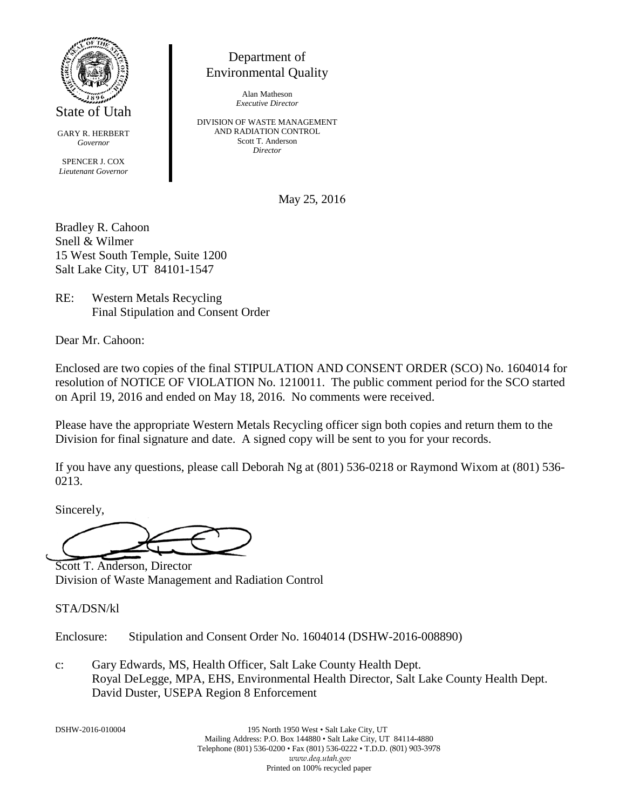

State of Utah

GARY R. HERBERT *Governor*

SPENCER J. COX *Lieutenant Governor*

# Department of Environmental Quality

Alan Matheson *Executive Director*

DIVISION OF WASTE MANAGEMENT AND RADIATION CONTROL Scott T. Anderson *Director*

May 25, 2016

Bradley R. Cahoon Snell & Wilmer 15 West South Temple, Suite 1200 Salt Lake City, UT 84101-1547

RE: Western Metals Recycling Final Stipulation and Consent Order

Dear Mr. Cahoon:

Enclosed are two copies of the final STIPULATION AND CONSENT ORDER (SCO) No. 1604014 for resolution of NOTICE OF VIOLATION No. 1210011. The public comment period for the SCO started on April 19, 2016 and ended on May 18, 2016. No comments were received.

Please have the appropriate Western Metals Recycling officer sign both copies and return them to the Division for final signature and date. A signed copy will be sent to you for your records.

If you have any questions, please call Deborah Ng at (801) 536-0218 or Raymond Wixom at (801) 536- 0213.

Sincerely,

Scott T. Anderson, Director Division of Waste Management and Radiation Control

STA/DSN/kl

Enclosure: Stipulation and Consent Order No. 1604014 (DSHW-2016-008890)

c: Gary Edwards, MS, Health Officer, Salt Lake County Health Dept. Royal DeLegge, MPA, EHS, Environmental Health Director, Salt Lake County Health Dept. David Duster, USEPA Region 8 Enforcement

DSHW-2016-010004 195 North 1950 West • Salt Lake City, UT Mailing Address: P.O. Box 144880 • Salt Lake City, UT 84114-4880 Telephone (801) 536-0200 • Fax (801) 536-0222 • T.D.D. (801) 903-3978 *www.deq.utah.gov* Printed on 100% recycled paper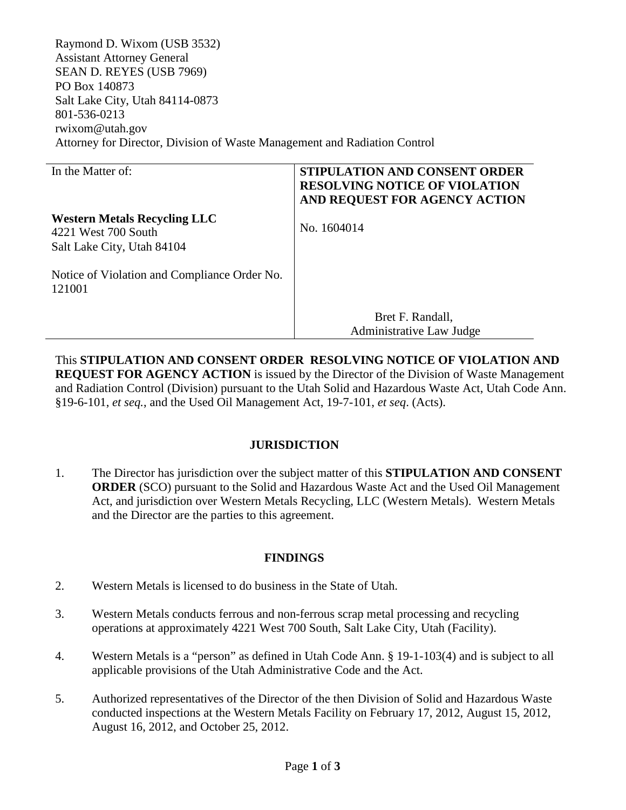Raymond D. Wixom (USB 3532) Assistant Attorney General SEAN D. REYES (USB 7969) PO Box 140873 Salt Lake City, Utah 84114-0873 801-536-0213 rwixom@utah.gov Attorney for Director, Division of Waste Management and Radiation Control

| In the Matter of:                                                                        | <b>STIPULATION AND CONSENT ORDER</b><br><b>RESOLVING NOTICE OF VIOLATION</b><br>AND REQUEST FOR AGENCY ACTION |
|------------------------------------------------------------------------------------------|---------------------------------------------------------------------------------------------------------------|
| <b>Western Metals Recycling LLC</b><br>4221 West 700 South<br>Salt Lake City, Utah 84104 | No. 1604014                                                                                                   |
| Notice of Violation and Compliance Order No.<br>121001                                   |                                                                                                               |
|                                                                                          | Bret F. Randall,<br>Administrative Law Judge                                                                  |

This **STIPULATION AND CONSENT ORDER RESOLVING NOTICE OF VIOLATION AND REQUEST FOR AGENCY ACTION** is issued by the Director of the Division of Waste Management and Radiation Control (Division) pursuant to the Utah Solid and Hazardous Waste Act, Utah Code Ann. §19-6-101, *et seq.*, and the Used Oil Management Act, 19-7-101, *et seq*. (Acts).

### **JURISDICTION**

1. The Director has jurisdiction over the subject matter of this **STIPULATION AND CONSENT ORDER** (SCO) pursuant to the Solid and Hazardous Waste Act and the Used Oil Management Act, and jurisdiction over Western Metals Recycling, LLC (Western Metals). Western Metals and the Director are the parties to this agreement.

### **FINDINGS**

- 2. Western Metals is licensed to do business in the State of Utah.
- 3. Western Metals conducts ferrous and non-ferrous scrap metal processing and recycling operations at approximately 4221 West 700 South, Salt Lake City, Utah (Facility).
- 4. Western Metals is a "person" as defined in Utah Code Ann. § 19-1-103(4) and is subject to all applicable provisions of the Utah Administrative Code and the Act.
- 5. Authorized representatives of the Director of the then Division of Solid and Hazardous Waste conducted inspections at the Western Metals Facility on February 17, 2012, August 15, 2012, August 16, 2012, and October 25, 2012.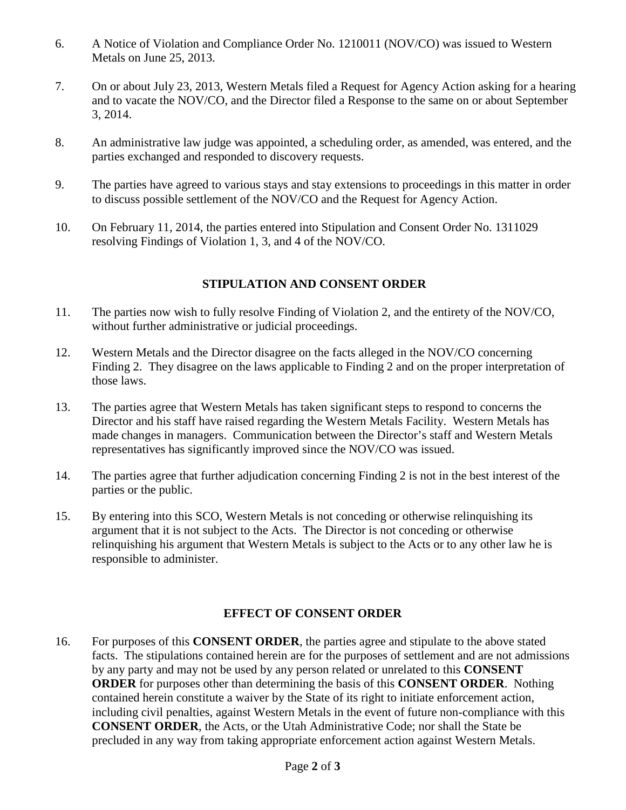- 6. A Notice of Violation and Compliance Order No. 1210011 (NOV/CO) was issued to Western Metals on June 25, 2013.
- 7. On or about July 23, 2013, Western Metals filed a Request for Agency Action asking for a hearing and to vacate the NOV/CO, and the Director filed a Response to the same on or about September 3, 2014.
- 8. An administrative law judge was appointed, a scheduling order, as amended, was entered, and the parties exchanged and responded to discovery requests.
- 9. The parties have agreed to various stays and stay extensions to proceedings in this matter in order to discuss possible settlement of the NOV/CO and the Request for Agency Action.
- 10. On February 11, 2014, the parties entered into Stipulation and Consent Order No. 1311029 resolving Findings of Violation 1, 3, and 4 of the NOV/CO.

## **STIPULATION AND CONSENT ORDER**

- 11. The parties now wish to fully resolve Finding of Violation 2, and the entirety of the NOV/CO, without further administrative or judicial proceedings.
- 12. Western Metals and the Director disagree on the facts alleged in the NOV/CO concerning Finding 2. They disagree on the laws applicable to Finding 2 and on the proper interpretation of those laws.
- 13. The parties agree that Western Metals has taken significant steps to respond to concerns the Director and his staff have raised regarding the Western Metals Facility. Western Metals has made changes in managers. Communication between the Director's staff and Western Metals representatives has significantly improved since the NOV/CO was issued.
- 14. The parties agree that further adjudication concerning Finding 2 is not in the best interest of the parties or the public.
- 15. By entering into this SCO, Western Metals is not conceding or otherwise relinquishing its argument that it is not subject to the Acts. The Director is not conceding or otherwise relinquishing his argument that Western Metals is subject to the Acts or to any other law he is responsible to administer.

### **EFFECT OF CONSENT ORDER**

16. For purposes of this **CONSENT ORDER**, the parties agree and stipulate to the above stated facts. The stipulations contained herein are for the purposes of settlement and are not admissions by any party and may not be used by any person related or unrelated to this **CONSENT ORDER** for purposes other than determining the basis of this **CONSENT ORDER**. Nothing contained herein constitute a waiver by the State of its right to initiate enforcement action, including civil penalties, against Western Metals in the event of future non-compliance with this **CONSENT ORDER**, the Acts, or the Utah Administrative Code; nor shall the State be precluded in any way from taking appropriate enforcement action against Western Metals.